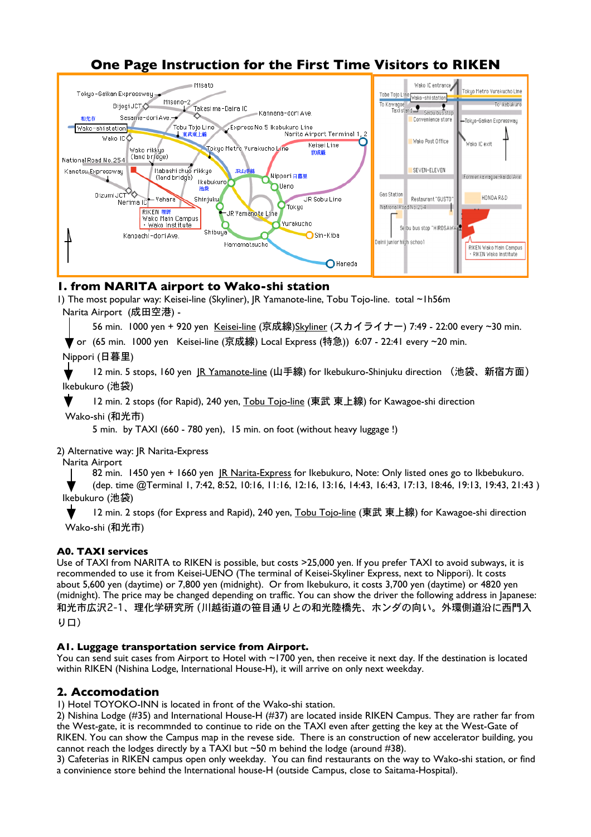

# **One Page Instruction for the First Time Visitors to RIKEN**

## **1. from NARITA airport to Wako-shi station**

1) The most popular way: Keisei-line (Skyliner), JR Yamanote-line, Tobu Tojo-line. total ~1h56m Narita Airport (成田空港) -

56 min. 1000 yen + 920 yen Keisei-line (京成線)Skyliner (スカイライナー) 7:49 - 22:00 every ~30 min.

or (65 min. 1000 yen Keisei-line (京成線) Local Express (特急)) 6:07 - 22:41 every ~20 min.

Nippori (日暮里)

12 min. 5 stops, 160 yen JR Yamanote-line (山手線) for Ikebukuro-Shinjuku direction (池袋、新宿方面) Ikebukuro (池袋)

12 min. 2 stops (for Rapid), 240 yen, Tobu Tojo-line (東武 東上線) for Kawagoe-shi direction Wako-shi (和光市)

5 min. by TAXI (660 - 780 yen), 15 min. on foot (without heavy luggage !)

2) Alternative way: JR Narita-Express

Narita Airport

82 min. 1450 yen + 1660 yen JR Narita-Express for Ikebukuro, Note: Only listed ones go to Ikbebukuro.

(dep. time @Terminal 1, 7:42, 8:52, 10:16, 11:16, 12:16, 13:16, 14:43, 16:43, 17:13, 18:46, 19:13, 19:43, 21:43 ) Ikebukuro (池袋)

12 min. 2 stops (for Express and Rapid), 240 yen, Tobu Tojo-line (東武 東上線) for Kawagoe-shi direction Wako-shi (和光市)

## **A0. TAXI services**

Use of TAXI from NARITA to RIKEN is possible, but costs >25,000 yen. If you prefer TAXI to avoid subways, it is recommended to use it from Keisei-UENO (The terminal of Keisei-Skyliner Express, next to Nippori). It costs about 5,600 yen (daytime) or 7,800 yen (midnight). Or from Ikebukuro, it costs 3,700 yen (daytime) or 4820 yen (midnight). The price may be changed depending on traffic. You can show the driver the following address in Japanese: 和光市広沢2-1、理化学研究所 (川越街道の笹目通りとの和光陸橋先、ホンダの向い。外環側道沿に西門入

り口)

#### **A1. Luggage transportation service from Airport.**

You can send suit cases from Airport to Hotel with ~1700 yen, then receive it next day. If the destination is located within RIKEN (Nishina Lodge, International House-H), it will arrive on only next weekday.

# **2. Accomodation**

1) Hotel TOYOKO-INN is located in front of the Wako-shi station.

2) Nishina Lodge (#35) and International House-H (#37) are located inside RIKEN Campus. They are rather far from the West-gate, it is recommnded to continue to ride on the TAXI even after getting the key at the West-Gate of RIKEN. You can show the Campus map in the revese side. There is an construction of new accelerator building, you cannot reach the lodges directly by a TAXI but  $\sim$  50 m behind the lodge (around #38).

3) Cafeterias in RIKEN campus open only weekday. You can find restaurants on the way to Wako-shi station, or find a convinience store behind the International house-H (outside Campus, close to Saitama-Hospital).